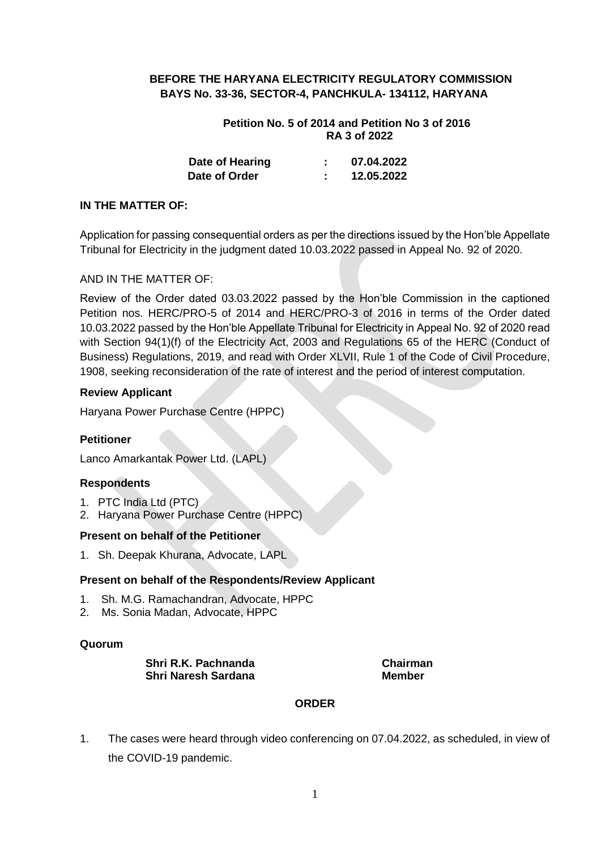## **BEFORE THE HARYANA ELECTRICITY REGULATORY COMMISSION BAYS No. 33-36, SECTOR-4, PANCHKULA- 134112, HARYANA**

## **Petition No. 5 of 2014 and Petition No 3 of 2016 RA 3 of 2022**

| Date of Hearing | 07.04.2022 |
|-----------------|------------|
| Date of Order   | 12.05.2022 |

## **IN THE MATTER OF:**

Application for passing consequential orders as per the directions issued by the Hon'ble Appellate Tribunal for Electricity in the judgment dated 10.03.2022 passed in Appeal No. 92 of 2020.

## AND IN THE MATTER OF:

Review of the Order dated 03.03.2022 passed by the Hon'ble Commission in the captioned Petition nos. HERC/PRO-5 of 2014 and HERC/PRO-3 of 2016 in terms of the Order dated 10.03.2022 passed by the Hon'ble Appellate Tribunal for Electricity in Appeal No. 92 of 2020 read with Section 94(1)(f) of the Electricity Act, 2003 and Regulations 65 of the HERC (Conduct of Business) Regulations, 2019, and read with Order XLVII, Rule 1 of the Code of Civil Procedure, 1908, seeking reconsideration of the rate of interest and the period of interest computation.

## **Review Applicant**

Haryana Power Purchase Centre (HPPC)

## **Petitioner**

Lanco Amarkantak Power Ltd. (LAPL)

## **Respondents**

- 1. PTC India Ltd (PTC)
- 2. Haryana Power Purchase Centre (HPPC)

## **Present on behalf of the Petitioner**

1. Sh. Deepak Khurana, Advocate, LAPL

## **Present on behalf of the Respondents/Review Applicant**

- 1. Sh. M.G. Ramachandran, Advocate, HPPC
- 2. Ms. Sonia Madan, Advocate, HPPC

#### **Quorum**

**Shri R.K. Pachnanda Chairman Shri Naresh Sardana** Member

## **ORDER**

1. The cases were heard through video conferencing on 07.04.2022, as scheduled, in view of the COVID-19 pandemic.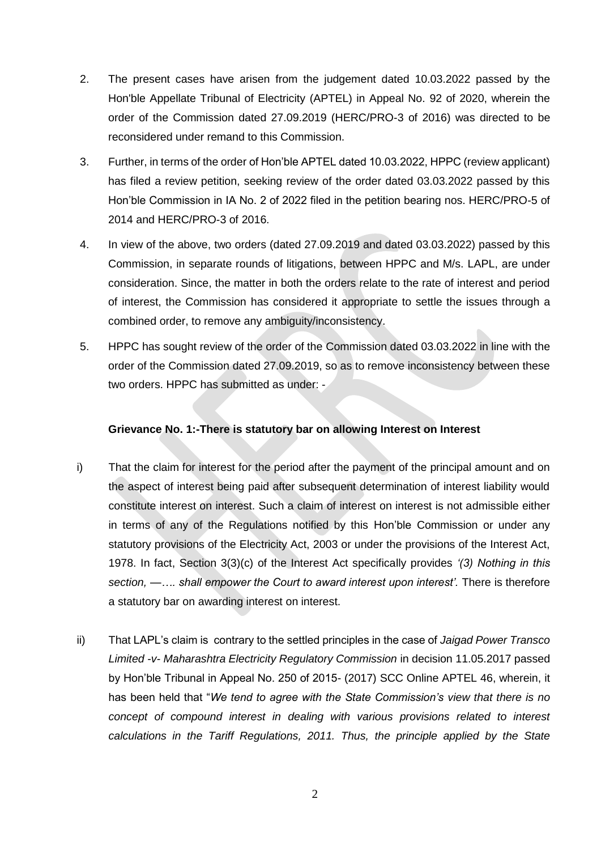- 2. The present cases have arisen from the judgement dated 10.03.2022 passed by the Hon'ble Appellate Tribunal of Electricity (APTEL) in Appeal No. 92 of 2020, wherein the order of the Commission dated 27.09.2019 (HERC/PRO-3 of 2016) was directed to be reconsidered under remand to this Commission.
- 3. Further, in terms of the order of Hon'ble APTEL dated 10.03.2022, HPPC (review applicant) has filed a review petition, seeking review of the order dated 03.03.2022 passed by this Hon'ble Commission in IA No. 2 of 2022 filed in the petition bearing nos. HERC/PRO-5 of 2014 and HERC/PRO-3 of 2016.
- 4. In view of the above, two orders (dated 27.09.2019 and dated 03.03.2022) passed by this Commission, in separate rounds of litigations, between HPPC and M/s. LAPL, are under consideration. Since, the matter in both the orders relate to the rate of interest and period of interest, the Commission has considered it appropriate to settle the issues through a combined order, to remove any ambiguity/inconsistency.
- 5. HPPC has sought review of the order of the Commission dated 03.03.2022 in line with the order of the Commission dated 27.09.2019, so as to remove inconsistency between these two orders. HPPC has submitted as under: -

## **Grievance No. 1:-There is statutory bar on allowing Interest on Interest**

- i) That the claim for interest for the period after the payment of the principal amount and on the aspect of interest being paid after subsequent determination of interest liability would constitute interest on interest. Such a claim of interest on interest is not admissible either in terms of any of the Regulations notified by this Hon'ble Commission or under any statutory provisions of the Electricity Act, 2003 or under the provisions of the Interest Act, 1978. In fact, Section 3(3)(c) of the Interest Act specifically provides *'(3) Nothing in this section, —…. shall empower the Court to award interest upon interest'.* There is therefore a statutory bar on awarding interest on interest.
- ii) That LAPL's claim is contrary to the settled principles in the case of *Jaigad Power Transco Limited -v- Maharashtra Electricity Regulatory Commission* in decision 11.05.2017 passed by Hon'ble Tribunal in Appeal No. 250 of 2015- (2017) SCC Online APTEL 46, wherein, it has been held that "*We tend to agree with the State Commission's view that there is no concept of compound interest in dealing with various provisions related to interest calculations in the Tariff Regulations, 2011. Thus, the principle applied by the State*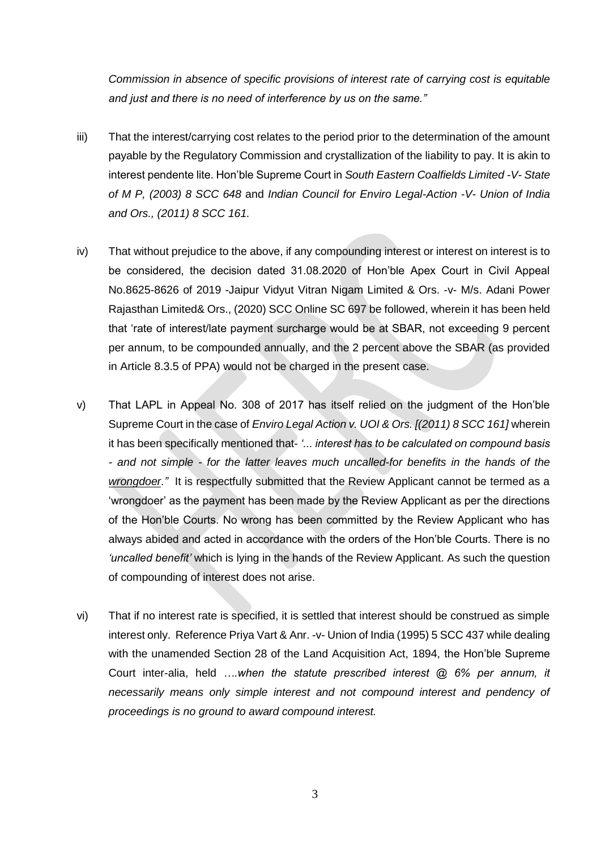*Commission in absence of specific provisions of interest rate of carrying cost is equitable and just and there is no need of interference by us on the same."*

- iii) That the interest/carrying cost relates to the period prior to the determination of the amount payable by the Regulatory Commission and crystallization of the liability to pay. It is akin to interest pendente lite. Hon'ble Supreme Court in *South Eastern Coalfields Limited -V- State of M P, (2003) 8 SCC 648* and *Indian Council for Enviro Legal-Action -V- Union of India and Ors., (2011) 8 SCC 161.*
- iv) That without prejudice to the above, if any compounding interest or interest on interest is to be considered, the decision dated 31.08.2020 of Hon'ble Apex Court in Civil Appeal No.8625-8626 of 2019 -Jaipur Vidyut Vitran Nigam Limited & Ors. -v- M/s. Adani Power Rajasthan Limited& Ors., (2020) SCC Online SC 697 be followed, wherein it has been held that 'rate of interest/late payment surcharge would be at SBAR, not exceeding 9 percent per annum, to be compounded annually, and the 2 percent above the SBAR (as provided in Article 8.3.5 of PPA) would not be charged in the present case.
- v) That LAPL in Appeal No. 308 of 2017 has itself relied on the judgment of the Hon'ble Supreme Court in the case of *Enviro Legal Action v. UOI & Ors. [(2011) 8 SCC 161]* wherein it has been specifically mentioned that- *'... interest has to be calculated on compound basis - and not simple - for the latter leaves much uncalled-for benefits in the hands of the wrongdoer."* It is respectfully submitted that the Review Applicant cannot be termed as a 'wrongdoer' as the payment has been made by the Review Applicant as per the directions of the Hon'ble Courts. No wrong has been committed by the Review Applicant who has always abided and acted in accordance with the orders of the Hon'ble Courts. There is no *'uncalled benefit'* which is lying in the hands of the Review Applicant. As such the question of compounding of interest does not arise.
- vi) That if no interest rate is specified, it is settled that interest should be construed as simple interest only. Reference Priya Vart & Anr. -v- Union of India (1995) 5 SCC 437 while dealing with the unamended Section 28 of the Land Acquisition Act, 1894, the Hon'ble Supreme Court inter-alia, held *….when the statute prescribed interest @ 6% per annum, it necessarily means only simple interest and not compound interest and pendency of proceedings is no ground to award compound interest.*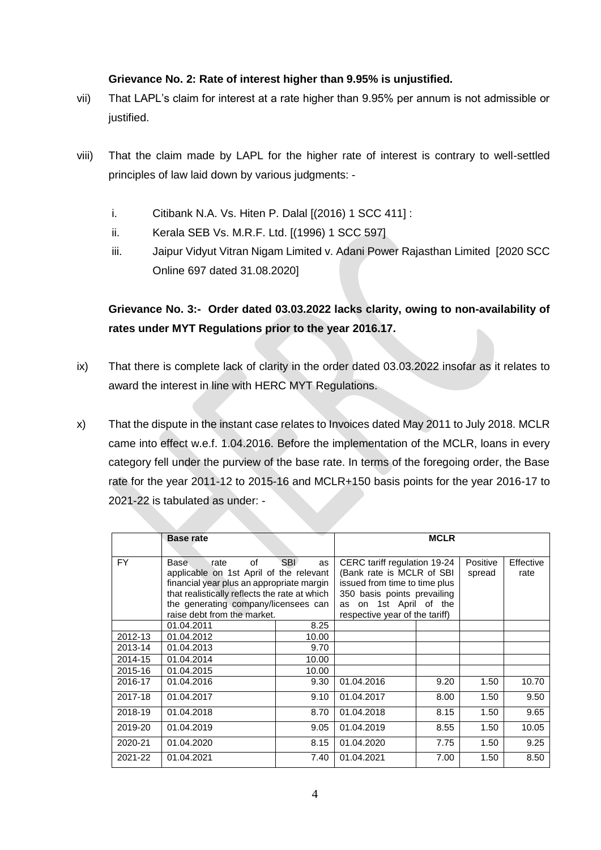## **Grievance No. 2: Rate of interest higher than 9.95% is unjustified.**

- vii) That LAPL's claim for interest at a rate higher than 9.95% per annum is not admissible or justified.
- viii) That the claim made by LAPL for the higher rate of interest is contrary to well-settled principles of law laid down by various judgments:
	- i. Citibank N.A. Vs. Hiten P. Dalal [(2016) 1 SCC 411] :
	- ii. Kerala SEB Vs. M.R.F. Ltd. [(1996) 1 SCC 597]
	- iii. Jaipur Vidyut Vitran Nigam Limited v. Adani Power Rajasthan Limited [2020 SCC Online 697 dated 31.08.2020]

# **Grievance No. 3:- Order dated 03.03.2022 lacks clarity, owing to non-availability of rates under MYT Regulations prior to the year 2016.17.**

- ix) That there is complete lack of clarity in the order dated 03.03.2022 insofar as it relates to award the interest in line with HERC MYT Regulations.
- x) That the dispute in the instant case relates to Invoices dated May 2011 to July 2018. MCLR came into effect w.e.f. 1.04.2016. Before the implementation of the MCLR, loans in every category fell under the purview of the base rate. In terms of the foregoing order, the Base rate for the year 2011-12 to 2015-16 and MCLR+150 basis points for the year 2016-17 to 2021-22 is tabulated as under: -

|         | <b>Base rate</b>                              | <b>MCLR</b>                    |            |           |      |       |
|---------|-----------------------------------------------|--------------------------------|------------|-----------|------|-------|
|         |                                               |                                |            |           |      |       |
| FY.     | Base<br>οf<br>rate                            | CERC tariff regulation 19-24   | Positive   | Effective |      |       |
|         | applicable on 1st April of the relevant       | (Bank rate is MCLR of SBI      |            | spread    | rate |       |
|         | financial year plus an appropriate margin     | issued from time to time plus  |            |           |      |       |
|         | that realistically reflects the rate at which | 350 basis points prevailing    |            |           |      |       |
|         | the generating company/licensees can          | on 1st April of the<br>as      |            |           |      |       |
|         | raise debt from the market.                   | respective year of the tariff) |            |           |      |       |
|         | 01.04.2011                                    | 8.25                           |            |           |      |       |
| 2012-13 | 01.04.2012                                    | 10.00                          |            |           |      |       |
| 2013-14 | 01.04.2013                                    | 9.70                           |            |           |      |       |
| 2014-15 | 01.04.2014                                    | 10.00                          |            |           |      |       |
| 2015-16 | 01.04.2015                                    | 10.00                          |            |           |      |       |
| 2016-17 | 01.04.2016                                    | 9.30                           | 01.04.2016 | 9.20      | 1.50 | 10.70 |
| 2017-18 | 01.04.2017                                    | 9.10                           | 01.04.2017 | 8.00      | 1.50 | 9.50  |
| 2018-19 | 01.04.2018                                    | 8.70                           | 01.04.2018 | 8.15      | 1.50 | 9.65  |
| 2019-20 | 01.04.2019                                    | 9.05                           | 01.04.2019 | 8.55      | 1.50 | 10.05 |
| 2020-21 | 01.04.2020                                    | 8.15                           | 01.04.2020 | 7.75      | 1.50 | 9.25  |
| 2021-22 | 01.04.2021                                    | 7.40                           | 01.04.2021 | 7.00      | 1.50 | 8.50  |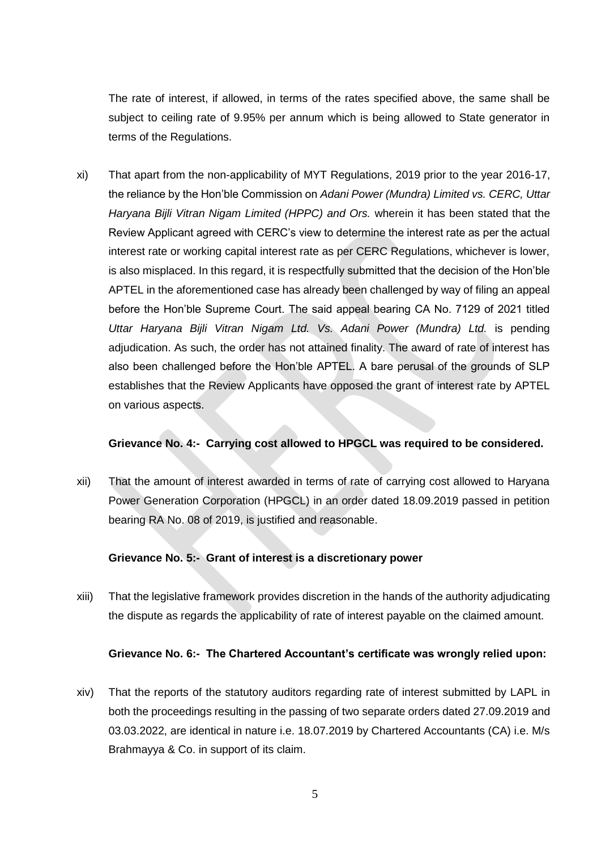The rate of interest, if allowed, in terms of the rates specified above, the same shall be subject to ceiling rate of 9.95% per annum which is being allowed to State generator in terms of the Regulations.

xi) That apart from the non-applicability of MYT Regulations, 2019 prior to the year 2016-17, the reliance by the Hon'ble Commission on *Adani Power (Mundra) Limited vs. CERC, Uttar Haryana Bijli Vitran Nigam Limited (HPPC) and Ors.* wherein it has been stated that the Review Applicant agreed with CERC's view to determine the interest rate as per the actual interest rate or working capital interest rate as per CERC Regulations, whichever is lower, is also misplaced. In this regard, it is respectfully submitted that the decision of the Hon'ble APTEL in the aforementioned case has already been challenged by way of filing an appeal before the Hon'ble Supreme Court. The said appeal bearing CA No. 7129 of 2021 titled *Uttar Haryana Bijli Vitran Nigam Ltd. Vs. Adani Power (Mundra) Ltd.* is pending adjudication. As such, the order has not attained finality. The award of rate of interest has also been challenged before the Hon'ble APTEL. A bare perusal of the grounds of SLP establishes that the Review Applicants have opposed the grant of interest rate by APTEL on various aspects.

#### **Grievance No. 4:- Carrying cost allowed to HPGCL was required to be considered.**

xii) That the amount of interest awarded in terms of rate of carrying cost allowed to Haryana Power Generation Corporation (HPGCL) in an order dated 18.09.2019 passed in petition bearing RA No. 08 of 2019, is justified and reasonable.

#### **Grievance No. 5:- Grant of interest is a discretionary power**

xiii) That the legislative framework provides discretion in the hands of the authority adjudicating the dispute as regards the applicability of rate of interest payable on the claimed amount.

#### **Grievance No. 6:- The Chartered Accountant's certificate was wrongly relied upon:**

xiv) That the reports of the statutory auditors regarding rate of interest submitted by LAPL in both the proceedings resulting in the passing of two separate orders dated 27.09.2019 and 03.03.2022, are identical in nature i.e. 18.07.2019 by Chartered Accountants (CA) i.e. M/s Brahmayya & Co. in support of its claim.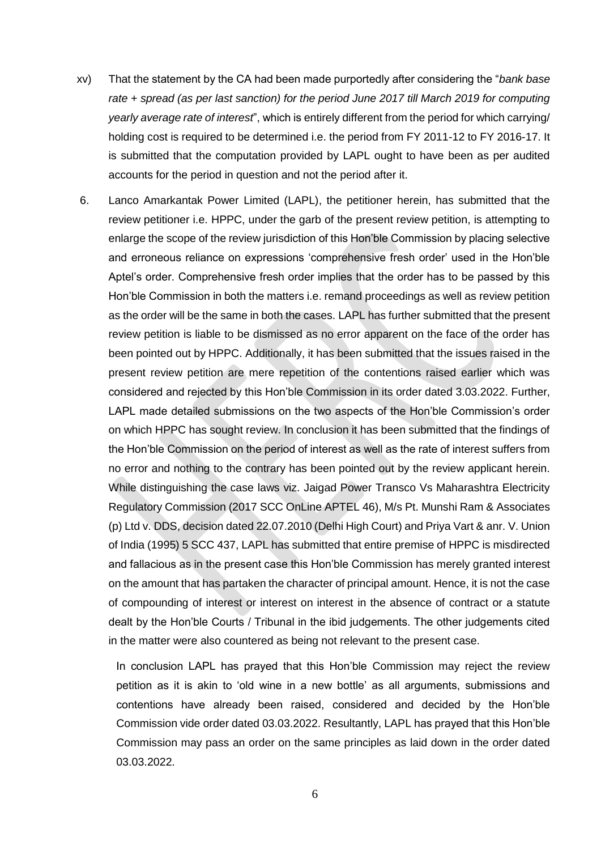- xv) That the statement by the CA had been made purportedly after considering the "*bank base rate + spread (as per last sanction) for the period June 2017 till March 2019 for computing yearly average rate of interest*", which is entirely different from the period for which carrying/ holding cost is required to be determined i.e. the period from FY 2011-12 to FY 2016-17. It is submitted that the computation provided by LAPL ought to have been as per audited accounts for the period in question and not the period after it.
- 6. Lanco Amarkantak Power Limited (LAPL), the petitioner herein, has submitted that the review petitioner i.e. HPPC, under the garb of the present review petition, is attempting to enlarge the scope of the review jurisdiction of this Hon'ble Commission by placing selective and erroneous reliance on expressions 'comprehensive fresh order' used in the Hon'ble Aptel's order. Comprehensive fresh order implies that the order has to be passed by this Hon'ble Commission in both the matters i.e. remand proceedings as well as review petition as the order will be the same in both the cases. LAPL has further submitted that the present review petition is liable to be dismissed as no error apparent on the face of the order has been pointed out by HPPC. Additionally, it has been submitted that the issues raised in the present review petition are mere repetition of the contentions raised earlier which was considered and rejected by this Hon'ble Commission in its order dated 3.03.2022. Further, LAPL made detailed submissions on the two aspects of the Hon'ble Commission's order on which HPPC has sought review. In conclusion it has been submitted that the findings of the Hon'ble Commission on the period of interest as well as the rate of interest suffers from no error and nothing to the contrary has been pointed out by the review applicant herein. While distinguishing the case laws viz. Jaigad Power Transco Vs Maharashtra Electricity Regulatory Commission (2017 SCC OnLine APTEL 46), M/s Pt. Munshi Ram & Associates (p) Ltd v. DDS, decision dated 22.07.2010 (Delhi High Court) and Priya Vart & anr. V. Union of India (1995) 5 SCC 437, LAPL has submitted that entire premise of HPPC is misdirected and fallacious as in the present case this Hon'ble Commission has merely granted interest on the amount that has partaken the character of principal amount. Hence, it is not the case of compounding of interest or interest on interest in the absence of contract or a statute dealt by the Hon'ble Courts / Tribunal in the ibid judgements. The other judgements cited in the matter were also countered as being not relevant to the present case.

In conclusion LAPL has prayed that this Hon'ble Commission may reject the review petition as it is akin to 'old wine in a new bottle' as all arguments, submissions and contentions have already been raised, considered and decided by the Hon'ble Commission vide order dated 03.03.2022. Resultantly, LAPL has prayed that this Hon'ble Commission may pass an order on the same principles as laid down in the order dated 03.03.2022.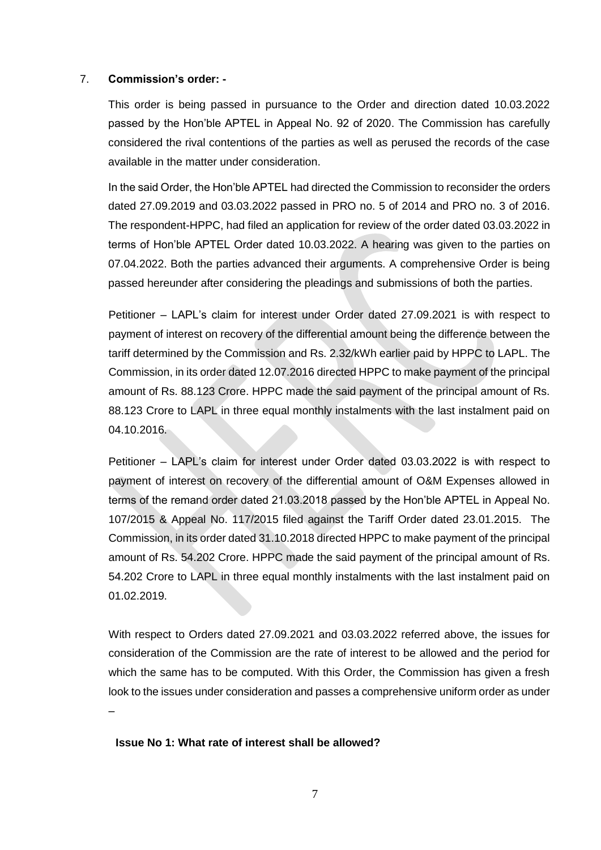#### 7. **Commission's order: -**

This order is being passed in pursuance to the Order and direction dated 10.03.2022 passed by the Hon'ble APTEL in Appeal No. 92 of 2020. The Commission has carefully considered the rival contentions of the parties as well as perused the records of the case available in the matter under consideration.

In the said Order, the Hon'ble APTEL had directed the Commission to reconsider the orders dated 27.09.2019 and 03.03.2022 passed in PRO no. 5 of 2014 and PRO no. 3 of 2016. The respondent-HPPC, had filed an application for review of the order dated 03.03.2022 in terms of Hon'ble APTEL Order dated 10.03.2022. A hearing was given to the parties on 07.04.2022. Both the parties advanced their arguments. A comprehensive Order is being passed hereunder after considering the pleadings and submissions of both the parties.

Petitioner – LAPL's claim for interest under Order dated 27.09.2021 is with respect to payment of interest on recovery of the differential amount being the difference between the tariff determined by the Commission and Rs. 2.32/kWh earlier paid by HPPC to LAPL. The Commission, in its order dated 12.07.2016 directed HPPC to make payment of the principal amount of Rs. 88.123 Crore. HPPC made the said payment of the principal amount of Rs. 88.123 Crore to LAPL in three equal monthly instalments with the last instalment paid on 04.10.2016.

Petitioner – LAPL's claim for interest under Order dated 03.03.2022 is with respect to payment of interest on recovery of the differential amount of O&M Expenses allowed in terms of the remand order dated 21.03.2018 passed by the Hon'ble APTEL in Appeal No. 107/2015 & Appeal No. 117/2015 filed against the Tariff Order dated 23.01.2015. The Commission, in its order dated 31.10.2018 directed HPPC to make payment of the principal amount of Rs. 54.202 Crore. HPPC made the said payment of the principal amount of Rs. 54.202 Crore to LAPL in three equal monthly instalments with the last instalment paid on 01.02.2019.

With respect to Orders dated 27.09.2021 and 03.03.2022 referred above, the issues for consideration of the Commission are the rate of interest to be allowed and the period for which the same has to be computed. With this Order, the Commission has given a fresh look to the issues under consideration and passes a comprehensive uniform order as under

**Issue No 1: What rate of interest shall be allowed?** 

–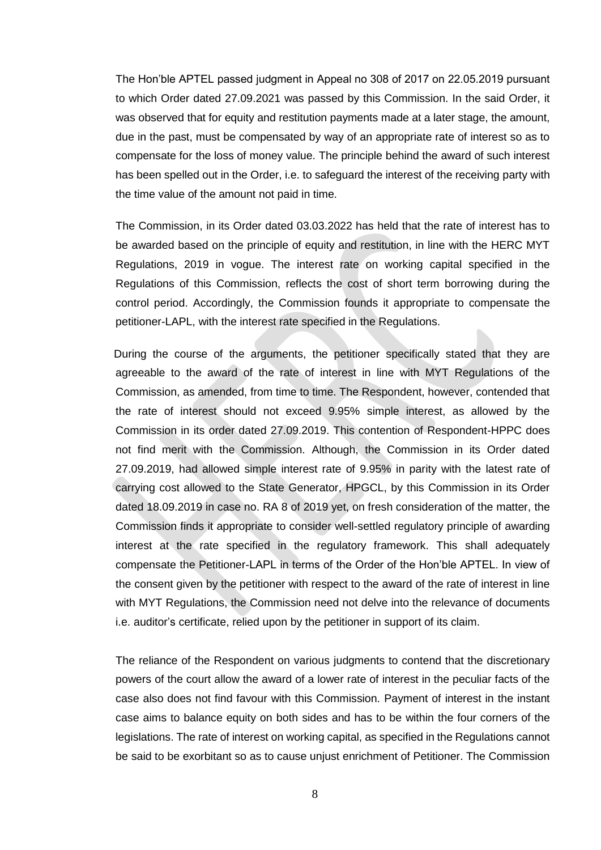The Hon'ble APTEL passed judgment in Appeal no 308 of 2017 on 22.05.2019 pursuant to which Order dated 27.09.2021 was passed by this Commission. In the said Order, it was observed that for equity and restitution payments made at a later stage, the amount, due in the past, must be compensated by way of an appropriate rate of interest so as to compensate for the loss of money value. The principle behind the award of such interest has been spelled out in the Order, i.e. to safeguard the interest of the receiving party with the time value of the amount not paid in time.

The Commission, in its Order dated 03.03.2022 has held that the rate of interest has to be awarded based on the principle of equity and restitution, in line with the HERC MYT Regulations, 2019 in vogue. The interest rate on working capital specified in the Regulations of this Commission, reflects the cost of short term borrowing during the control period. Accordingly, the Commission founds it appropriate to compensate the petitioner-LAPL, with the interest rate specified in the Regulations.

 During the course of the arguments, the petitioner specifically stated that they are agreeable to the award of the rate of interest in line with MYT Regulations of the Commission, as amended, from time to time. The Respondent, however, contended that the rate of interest should not exceed 9.95% simple interest, as allowed by the Commission in its order dated 27.09.2019. This contention of Respondent-HPPC does not find merit with the Commission. Although, the Commission in its Order dated 27.09.2019, had allowed simple interest rate of 9.95% in parity with the latest rate of carrying cost allowed to the State Generator, HPGCL, by this Commission in its Order dated 18.09.2019 in case no. RA 8 of 2019 yet, on fresh consideration of the matter, the Commission finds it appropriate to consider well-settled regulatory principle of awarding interest at the rate specified in the regulatory framework. This shall adequately compensate the Petitioner-LAPL in terms of the Order of the Hon'ble APTEL. In view of the consent given by the petitioner with respect to the award of the rate of interest in line with MYT Regulations, the Commission need not delve into the relevance of documents i.e. auditor's certificate, relied upon by the petitioner in support of its claim.

The reliance of the Respondent on various judgments to contend that the discretionary powers of the court allow the award of a lower rate of interest in the peculiar facts of the case also does not find favour with this Commission. Payment of interest in the instant case aims to balance equity on both sides and has to be within the four corners of the legislations. The rate of interest on working capital, as specified in the Regulations cannot be said to be exorbitant so as to cause unjust enrichment of Petitioner. The Commission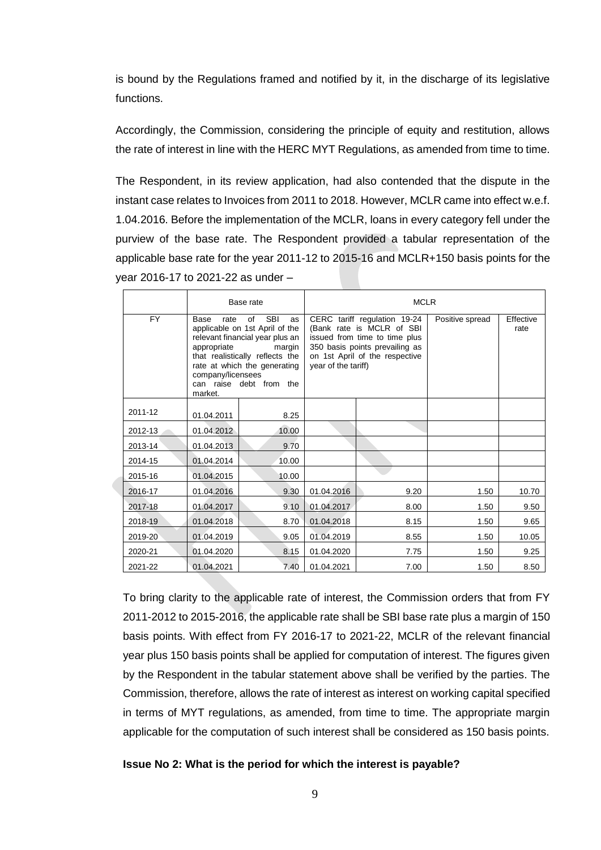is bound by the Regulations framed and notified by it, in the discharge of its legislative functions.

Accordingly, the Commission, considering the principle of equity and restitution, allows the rate of interest in line with the HERC MYT Regulations, as amended from time to time.

The Respondent, in its review application, had also contended that the dispute in the instant case relates to Invoices from 2011 to 2018. However, MCLR came into effect w.e.f. 1.04.2016. Before the implementation of the MCLR, loans in every category fell under the purview of the base rate. The Respondent provided a tabular representation of the applicable base rate for the year 2011-12 to 2015-16 and MCLR+150 basis points for the year 2016-17 to 2021-22 as under –

|           |                                                                                                                                                                                                                                                                    | Base rate | <b>MCLR</b>                                                                                                                                                                           |      |                 |                   |
|-----------|--------------------------------------------------------------------------------------------------------------------------------------------------------------------------------------------------------------------------------------------------------------------|-----------|---------------------------------------------------------------------------------------------------------------------------------------------------------------------------------------|------|-----------------|-------------------|
| <b>FY</b> | <b>SBI</b><br>Base<br>rate<br>of<br>as<br>applicable on 1st April of the<br>relevant financial year plus an<br>appropriate<br>margin<br>that realistically reflects the<br>rate at which the generating<br>company/licensees<br>can raise debt from the<br>market. |           | CERC tariff regulation 19-24<br>(Bank rate is MCLR of SBI<br>issued from time to time plus<br>350 basis points prevailing as<br>on 1st April of the respective<br>year of the tariff) |      | Positive spread | Effective<br>rate |
| 2011-12   | 01.04.2011                                                                                                                                                                                                                                                         | 8.25      |                                                                                                                                                                                       |      |                 |                   |
| 2012-13   | 01.04.2012                                                                                                                                                                                                                                                         | 10.00     |                                                                                                                                                                                       |      |                 |                   |
| 2013-14   | 01.04.2013                                                                                                                                                                                                                                                         | 9.70      |                                                                                                                                                                                       |      |                 |                   |
| 2014-15   | 01.04.2014                                                                                                                                                                                                                                                         | 10.00     |                                                                                                                                                                                       |      |                 |                   |
| 2015-16   | 01.04.2015                                                                                                                                                                                                                                                         | 10.00     |                                                                                                                                                                                       |      |                 |                   |
| 2016-17   | 01.04.2016                                                                                                                                                                                                                                                         | 9.30      | 01.04.2016                                                                                                                                                                            | 9.20 | 1.50            | 10.70             |
| 2017-18   | 01.04.2017                                                                                                                                                                                                                                                         | 9.10      | 01.04.2017                                                                                                                                                                            | 8.00 | 1.50            | 9.50              |
| 2018-19   | 01.04.2018                                                                                                                                                                                                                                                         | 8.70      | 01.04.2018                                                                                                                                                                            | 8.15 | 1.50            | 9.65              |
| 2019-20   | 01.04.2019                                                                                                                                                                                                                                                         | 9.05      | 01.04.2019                                                                                                                                                                            | 8.55 | 1.50            | 10.05             |
| 2020-21   | 01.04.2020                                                                                                                                                                                                                                                         | 8.15      | 01.04.2020                                                                                                                                                                            | 7.75 | 1.50            | 9.25              |
| 2021-22   | 01.04.2021                                                                                                                                                                                                                                                         | 7.40      | 01.04.2021                                                                                                                                                                            | 7.00 | 1.50            | 8.50              |

To bring clarity to the applicable rate of interest, the Commission orders that from FY 2011-2012 to 2015-2016, the applicable rate shall be SBI base rate plus a margin of 150 basis points. With effect from FY 2016-17 to 2021-22, MCLR of the relevant financial year plus 150 basis points shall be applied for computation of interest. The figures given by the Respondent in the tabular statement above shall be verified by the parties. The Commission, therefore, allows the rate of interest as interest on working capital specified in terms of MYT regulations, as amended, from time to time. The appropriate margin applicable for the computation of such interest shall be considered as 150 basis points.

## **Issue No 2: What is the period for which the interest is payable?**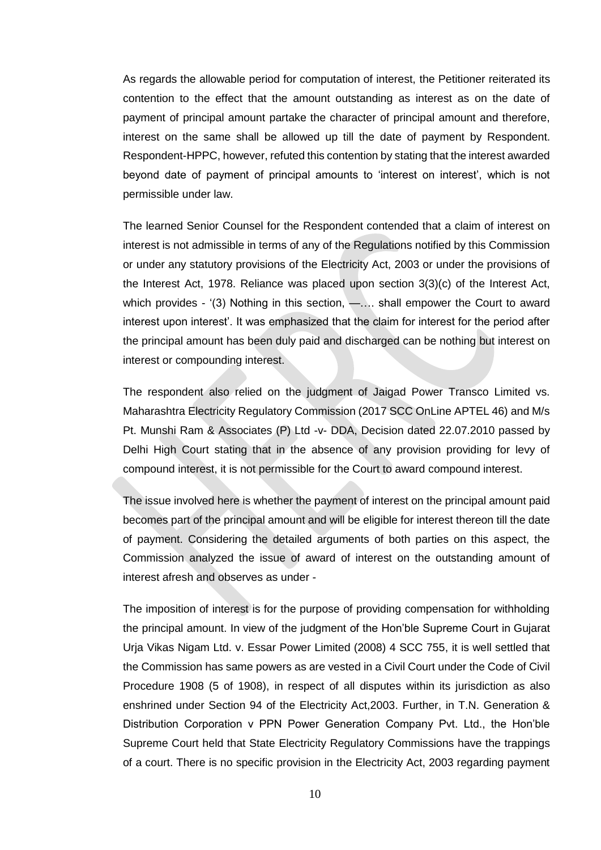As regards the allowable period for computation of interest, the Petitioner reiterated its contention to the effect that the amount outstanding as interest as on the date of payment of principal amount partake the character of principal amount and therefore, interest on the same shall be allowed up till the date of payment by Respondent. Respondent-HPPC, however, refuted this contention by stating that the interest awarded beyond date of payment of principal amounts to 'interest on interest', which is not permissible under law.

The learned Senior Counsel for the Respondent contended that a claim of interest on interest is not admissible in terms of any of the Regulations notified by this Commission or under any statutory provisions of the Electricity Act, 2003 or under the provisions of the Interest Act, 1978. Reliance was placed upon section 3(3)(c) of the Interest Act, which provides - '(3) Nothing in this section, —.... shall empower the Court to award interest upon interest'. It was emphasized that the claim for interest for the period after the principal amount has been duly paid and discharged can be nothing but interest on interest or compounding interest.

The respondent also relied on the judgment of Jaigad Power Transco Limited vs. Maharashtra Electricity Regulatory Commission (2017 SCC OnLine APTEL 46) and M/s Pt. Munshi Ram & Associates (P) Ltd -v- DDA, Decision dated 22.07.2010 passed by Delhi High Court stating that in the absence of any provision providing for levy of compound interest, it is not permissible for the Court to award compound interest.

The issue involved here is whether the payment of interest on the principal amount paid becomes part of the principal amount and will be eligible for interest thereon till the date of payment. Considering the detailed arguments of both parties on this aspect, the Commission analyzed the issue of award of interest on the outstanding amount of interest afresh and observes as under -

The imposition of interest is for the purpose of providing compensation for withholding the principal amount. In view of the judgment of the Hon'ble Supreme Court in Gujarat Urja Vikas Nigam Ltd. v. Essar Power Limited (2008) 4 SCC 755, it is well settled that the Commission has same powers as are vested in a Civil Court under the Code of Civil Procedure 1908 (5 of 1908), in respect of all disputes within its jurisdiction as also enshrined under Section 94 of the Electricity Act,2003. Further, in T.N. Generation & Distribution Corporation v PPN Power Generation Company Pvt. Ltd., the Hon'ble Supreme Court held that State Electricity Regulatory Commissions have the trappings of a court. There is no specific provision in the Electricity Act, 2003 regarding payment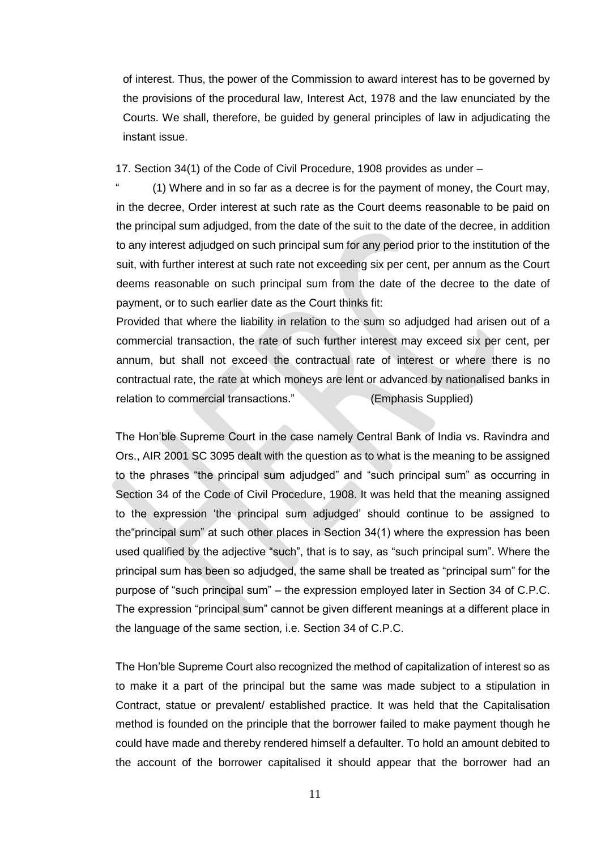of interest. Thus, the power of the Commission to award interest has to be governed by the provisions of the procedural law, Interest Act, 1978 and the law enunciated by the Courts. We shall, therefore, be guided by general principles of law in adjudicating the instant issue.

17. Section 34(1) of the Code of Civil Procedure, 1908 provides as under –

(1) Where and in so far as a decree is for the payment of money, the Court may, in the decree, Order interest at such rate as the Court deems reasonable to be paid on the principal sum adjudged, from the date of the suit to the date of the decree, in addition to any interest adjudged on such principal sum for any period prior to the institution of the suit, with further interest at such rate not exceeding six per cent, per annum as the Court deems reasonable on such principal sum from the date of the decree to the date of payment, or to such earlier date as the Court thinks fit:

Provided that where the liability in relation to the sum so adjudged had arisen out of a commercial transaction, the rate of such further interest may exceed six per cent, per annum, but shall not exceed the contractual rate of interest or where there is no contractual rate, the rate at which moneys are lent or advanced by nationalised banks in relation to commercial transactions." (Emphasis Supplied)

The Hon'ble Supreme Court in the case namely Central Bank of India vs. Ravindra and Ors., AIR 2001 SC 3095 dealt with the question as to what is the meaning to be assigned to the phrases "the principal sum adjudged" and "such principal sum" as occurring in Section 34 of the Code of Civil Procedure, 1908. It was held that the meaning assigned to the expression 'the principal sum adjudged' should continue to be assigned to the"principal sum" at such other places in Section 34(1) where the expression has been used qualified by the adjective "such", that is to say, as "such principal sum". Where the principal sum has been so adjudged, the same shall be treated as "principal sum" for the purpose of "such principal sum" – the expression employed later in Section 34 of C.P.C. The expression "principal sum" cannot be given different meanings at a different place in the language of the same section, i.e. Section 34 of C.P.C.

The Hon'ble Supreme Court also recognized the method of capitalization of interest so as to make it a part of the principal but the same was made subject to a stipulation in Contract, statue or prevalent/ established practice. It was held that the Capitalisation method is founded on the principle that the borrower failed to make payment though he could have made and thereby rendered himself a defaulter. To hold an amount debited to the account of the borrower capitalised it should appear that the borrower had an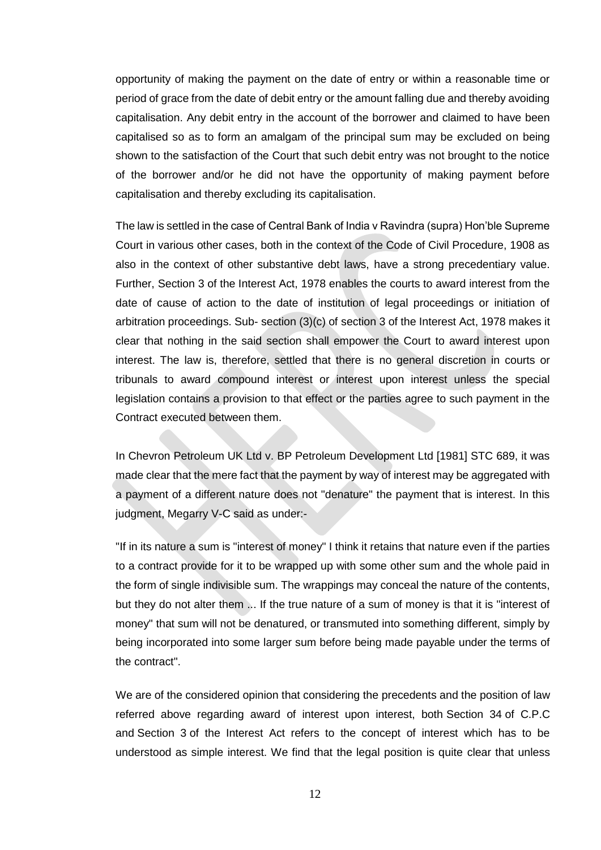opportunity of making the payment on the date of entry or within a reasonable time or period of grace from the date of debit entry or the amount falling due and thereby avoiding capitalisation. Any debit entry in the account of the borrower and claimed to have been capitalised so as to form an amalgam of the principal sum may be excluded on being shown to the satisfaction of the Court that such debit entry was not brought to the notice of the borrower and/or he did not have the opportunity of making payment before capitalisation and thereby excluding its capitalisation.

The law is settled in the case of Central Bank of India v Ravindra (supra) Hon'ble Supreme Court in various other cases, both in the context of the Code of Civil Procedure, 1908 as also in the context of other substantive debt laws, have a strong precedentiary value. Further, [Section 3](https://indiankanoon.org/doc/196386/) of the Interest Act, 1978 enables the courts to award interest from the date of cause of action to the date of institution of legal proceedings or initiation of arbitration proceedings. Sub- section (3)(c) of [section 3](https://indiankanoon.org/doc/196386/) of the Interest Act, 1978 makes it clear that nothing in the said section shall empower the Court to award interest upon interest. The law is, therefore, settled that there is no general discretion in courts or tribunals to award compound interest or interest upon interest unless the special legislation contains a provision to that effect or the parties agree to such payment in the Contract executed between them.

In Chevron Petroleum UK Ltd v. BP Petroleum Development Ltd [1981] STC 689, it was made clear that the mere fact that the payment by way of interest may be aggregated with a payment of a different nature does not "denature" the payment that is interest. In this judgment, Megarry V-C said as under:-

"If in its nature a sum is "interest of money" I think it retains that nature even if the parties to a contract provide for it to be wrapped up with some other sum and the whole paid in the form of single indivisible sum. The wrappings may conceal the nature of the contents, but they do not alter them ... If the true nature of a sum of money is that it is "interest of money" that sum will not be denatured, or transmuted into something different, simply by being incorporated into some larger sum before being made payable under the terms of the contract".

We are of the considered opinion that considering the precedents and the position of law referred above regarding award of interest upon interest, both Section 34 of C.P.C and Section 3 of the Interest Act refers to the concept of interest which has to be understood as simple interest. We find that the legal position is quite clear that unless